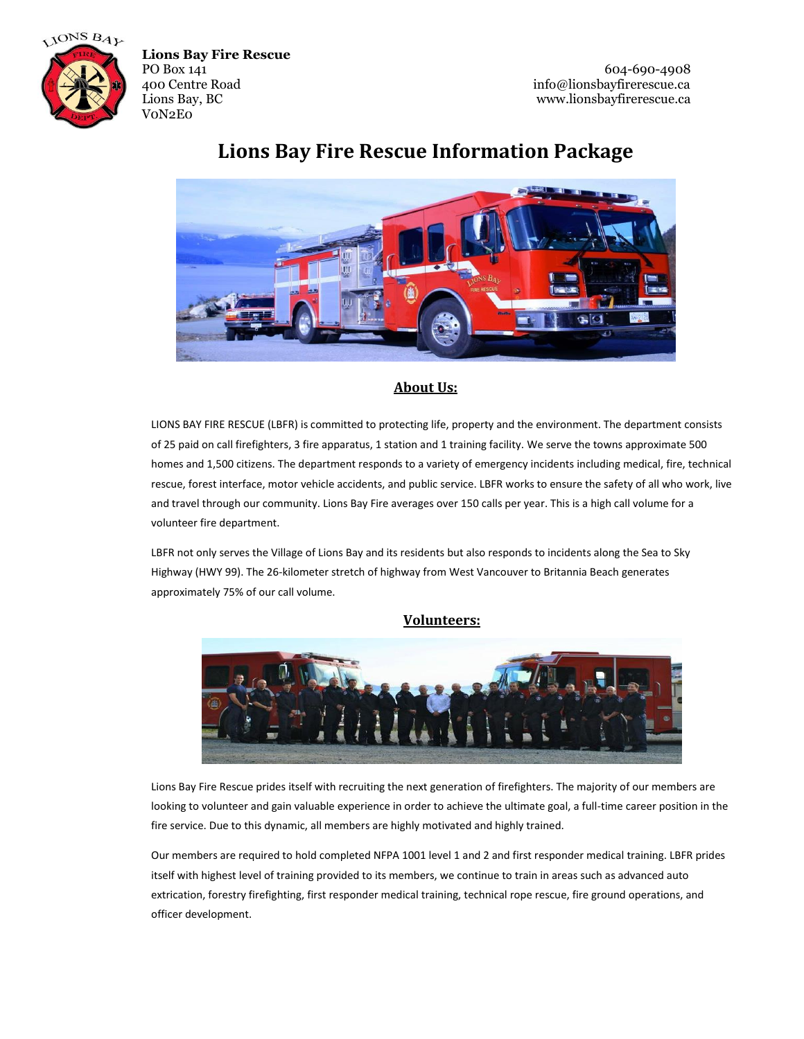

# $\bullet$   $\sigma$

## **Lions Bay Fire Rescue Information Package**

### **About Us:**

LIONS BAY FIRE RESCUE (LBFR) is committed to protecting life, property and the environment. The department consists of 25 paid on call firefighters, 3 fire apparatus, 1 station and 1 training facility. We serve the towns approximate 500 homes and 1,500 citizens. The department responds to a variety of emergency incidents including medical, fire, technical rescue, forest interface, motor vehicle accidents, and public service. LBFR works to ensure the safety of all who work, live and travel through our community. Lions Bay Fire averages over 150 calls per year. This is a high call volume for a volunteer fire department.

LBFR not only serves the Village of Lions Bay and its residents but also responds to incidents along the Sea to Sky Highway (HWY 99). The 26-kilometer stretch of highway from West Vancouver to Britannia Beach generates approximately 75% of our call volume.

### **Volunteers:**



Lions Bay Fire Rescue prides itself with recruiting the next generation of firefighters. The majority of our members are looking to volunteer and gain valuable experience in order to achieve the ultimate goal, a full-time career position in the fire service. Due to this dynamic, all members are highly motivated and highly trained.

Our members are required to hold completed NFPA 1001 level 1 and 2 and first responder medical training. LBFR prides itself with highest level of training provided to its members, we continue to train in areas such as advanced auto extrication, forestry firefighting, first responder medical training, technical rope rescue, fire ground operations, and officer development.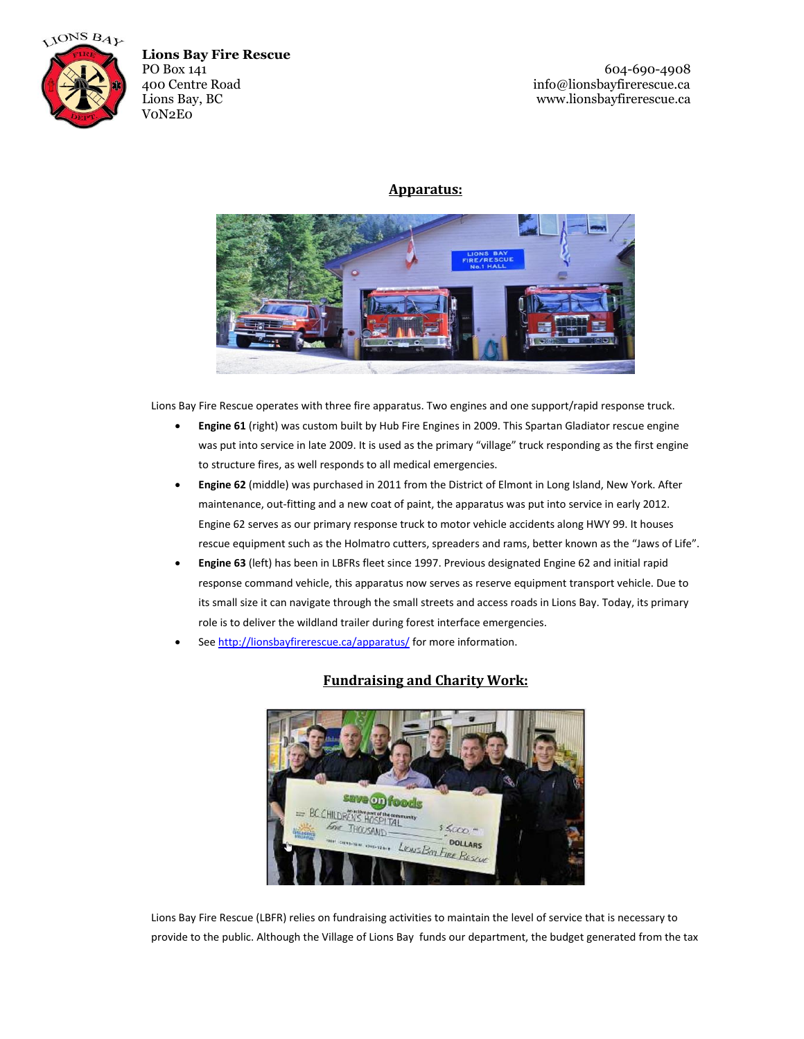



PO Box 141 604-690-4908<br>400 Centre Road for the state of the state of the state of the state of the state of the state of the state of the state of the state of the state of the state of the state of the state of the state info@lionsbayfirerescue.ca Lions Bay, BC www.lionsbayfirerescue.ca

### **Apparatus:**



Lions Bay Fire Rescue operates with three fire apparatus. Two engines and one support/rapid response truck.

- **Engine 61** (right) was custom built by Hub Fire Engines in 2009. This Spartan Gladiator rescue engine was put into service in late 2009. It is used as the primary "village" truck responding as the first engine to structure fires, as well responds to all medical emergencies.
- **Engine 62** (middle) was purchased in 2011 from the District of Elmont in Long Island, New York. After maintenance, out-fitting and a new coat of paint, the apparatus was put into service in early 2012. Engine 62 serves as our primary response truck to motor vehicle accidents along HWY 99. It houses rescue equipment such as the Holmatro cutters, spreaders and rams, better known as the "Jaws of Life".
- **Engine 63** (left) has been in LBFRs fleet since 1997. Previous designated Engine 62 and initial rapid response command vehicle, this apparatus now serves as reserve equipment transport vehicle. Due to its small size it can navigate through the small streets and access roads in Lions Bay. Today, its primary role is to deliver the wildland trailer during forest interface emergencies.
- Se[e http://lionsbayfirerescue.ca/apparatus/](http://lionsbayfirerescue.ca/apparatus/) for more information.



### **Fundraising and Charity Work:**

Lions Bay Fire Rescue (LBFR) relies on fundraising activities to maintain the level of service that is necessary to provide to the public. Although the Village of Lions Bay funds our department, the budget generated from the tax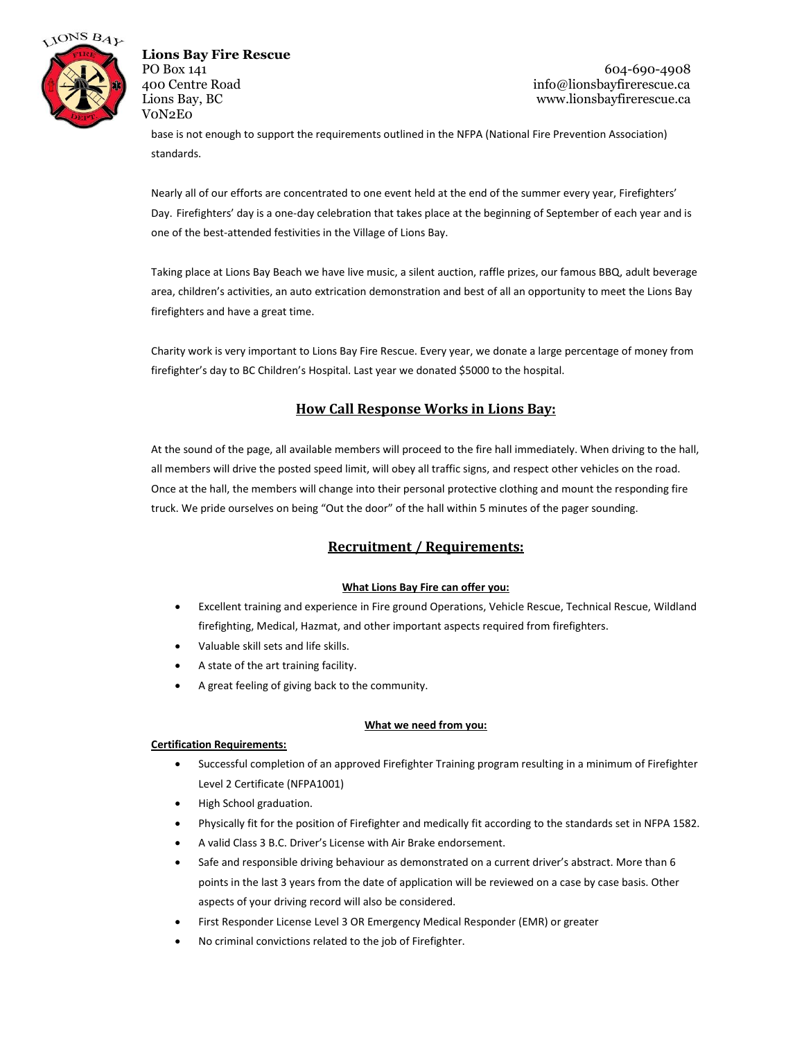

PO Box 141 604-690-4908 400 Centre Road info@lionsbayfirerescue.ca Lions Bay, BC www.lionsbayfirerescue.ca

base is not enough to support the requirements outlined in the NFPA (National Fire Prevention Association) standards.

Nearly all of our efforts are concentrated to one event held at the end of the summer every year, Firefighters' Day. Firefighters' day is a one-day celebration that takes place at the beginning of September of each year and is one of the best-attended festivities in the Village of Lions Bay.

Taking place at Lions Bay Beach we have live music, a silent auction, raffle prizes, our famous BBQ, adult beverage area, children's activities, an auto extrication demonstration and best of all an opportunity to meet the Lions Bay firefighters and have a great time.

Charity work is very important to Lions Bay Fire Rescue. Every year, we donate a large percentage of money from firefighter's day to BC Children's Hospital. Last year we donated \$5000 to the hospital.

### **How Call Response Works in Lions Bay:**

At the sound of the page, all available members will proceed to the fire hall immediately. When driving to the hall, all members will drive the posted speed limit, will obey all traffic signs, and respect other vehicles on the road. Once at the hall, the members will change into their personal protective clothing and mount the responding fire truck. We pride ourselves on being "Out the door" of the hall within 5 minutes of the pager sounding.

### **Recruitment / Requirements:**

### **What Lions Bay Fire can offer you:**

- Excellent training and experience in Fire ground Operations, Vehicle Rescue, Technical Rescue, Wildland firefighting, Medical, Hazmat, and other important aspects required from firefighters.
- Valuable skill sets and life skills.
- A state of the art training facility.
- A great feeling of giving back to the community.

### **What we need from you:**

### **Certification Requirements:**

- Successful completion of an approved Firefighter Training program resulting in a minimum of Firefighter Level 2 Certificate (NFPA1001)
- High School graduation.
- Physically fit for the position of Firefighter and medically fit according to the standards set in NFPA 1582.
- A valid Class 3 B.C. Driver's License with Air Brake endorsement.
- Safe and responsible driving behaviour as demonstrated on a current driver's abstract. More than 6 points in the last 3 years from the date of application will be reviewed on a case by case basis. Other aspects of your driving record will also be considered.
- First Responder License Level 3 OR Emergency Medical Responder (EMR) or greater
- No criminal convictions related to the job of Firefighter.